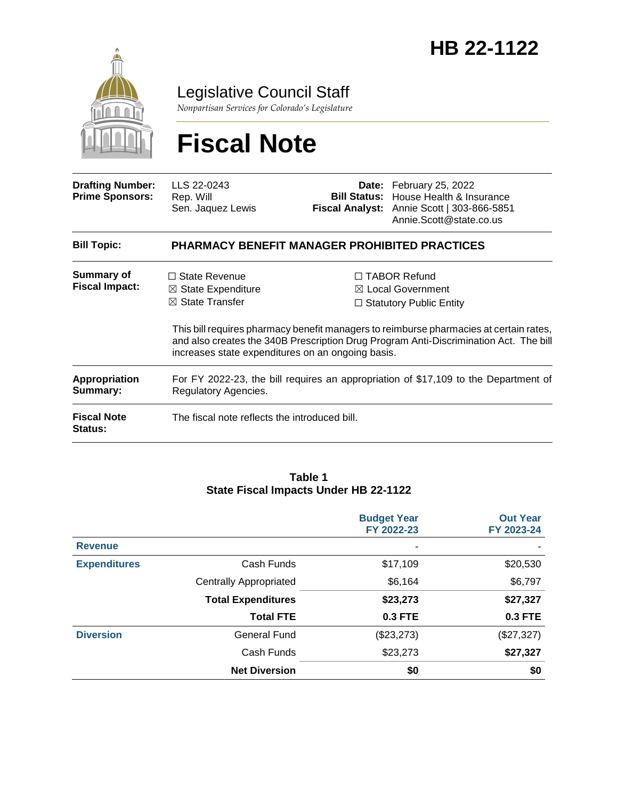

# Legislative Council Staff

*Nonpartisan Services for Colorado's Legislature*

# **Fiscal Note**

| <b>Drafting Number:</b><br><b>Prime Sponsors:</b> | LLS 22-0243<br>Rep. Will<br>Sen. Jaquez Lewis                                                                                            |  | Date: February 25, 2022<br><b>Bill Status:</b> House Health & Insurance<br>Fiscal Analyst: Annie Scott   303-866-5851<br>Annie.Scott@state.co.us                                                                                                                         |  |  |
|---------------------------------------------------|------------------------------------------------------------------------------------------------------------------------------------------|--|--------------------------------------------------------------------------------------------------------------------------------------------------------------------------------------------------------------------------------------------------------------------------|--|--|
| <b>Bill Topic:</b>                                | <b>PHARMACY BENEFIT MANAGER PROHIBITED PRACTICES</b>                                                                                     |  |                                                                                                                                                                                                                                                                          |  |  |
| <b>Summary of</b><br><b>Fiscal Impact:</b>        | $\Box$ State Revenue<br>$\boxtimes$ State Expenditure<br>$\boxtimes$ State Transfer<br>increases state expenditures on an ongoing basis. |  | $\Box$ TABOR Refund<br>$\boxtimes$ Local Government<br>$\Box$ Statutory Public Entity<br>This bill requires pharmacy benefit managers to reimburse pharmacies at certain rates,<br>and also creates the 340B Prescription Drug Program Anti-Discrimination Act. The bill |  |  |
| <b>Appropriation</b><br>Summary:                  | For FY 2022-23, the bill requires an appropriation of \$17,109 to the Department of<br>Regulatory Agencies.                              |  |                                                                                                                                                                                                                                                                          |  |  |
| <b>Fiscal Note</b><br><b>Status:</b>              | The fiscal note reflects the introduced bill.                                                                                            |  |                                                                                                                                                                                                                                                                          |  |  |

#### **Table 1 State Fiscal Impacts Under HB 22-1122**

|                     |                               | <b>Budget Year</b><br>FY 2022-23 | <b>Out Year</b><br>FY 2023-24 |
|---------------------|-------------------------------|----------------------------------|-------------------------------|
| <b>Revenue</b>      |                               | ٠                                |                               |
| <b>Expenditures</b> | Cash Funds                    | \$17,109                         | \$20,530                      |
|                     | <b>Centrally Appropriated</b> | \$6,164                          | \$6,797                       |
|                     | <b>Total Expenditures</b>     | \$23,273                         | \$27,327                      |
|                     | <b>Total FTE</b>              | <b>0.3 FTE</b>                   | <b>0.3 FTE</b>                |
| <b>Diversion</b>    | <b>General Fund</b>           | (\$23,273)                       | (\$27,327)                    |
|                     | Cash Funds                    | \$23,273                         | \$27,327                      |
|                     | <b>Net Diversion</b>          | \$0                              | \$0                           |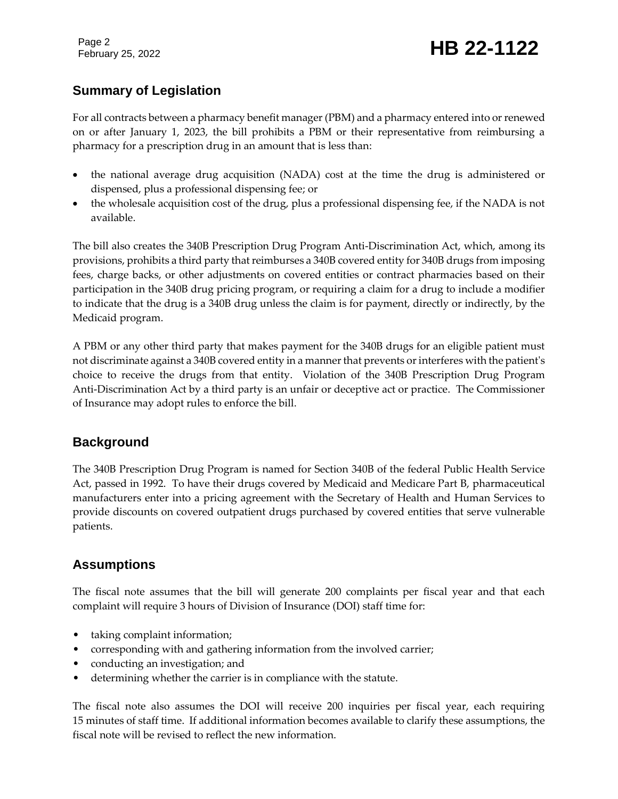Page 2

# February 25, 2022 **HB 22-1122**

# **Summary of Legislation**

For all contracts between a pharmacy benefit manager (PBM) and a pharmacy entered into or renewed on or after January 1, 2023, the bill prohibits a PBM or their representative from reimbursing a pharmacy for a prescription drug in an amount that is less than:

- the national average drug acquisition (NADA) cost at the time the drug is administered or dispensed, plus a professional dispensing fee; or
- the wholesale acquisition cost of the drug, plus a professional dispensing fee, if the NADA is not available.

The bill also creates the 340B Prescription Drug Program Anti-Discrimination Act, which, among its provisions, prohibits a third party that reimburses a 340B covered entity for 340B drugs from imposing fees, charge backs, or other adjustments on covered entities or contract pharmacies based on their participation in the 340B drug pricing program, or requiring a claim for a drug to include a modifier to indicate that the drug is a 340B drug unless the claim is for payment, directly or indirectly, by the Medicaid program.

A PBM or any other third party that makes payment for the 340B drugs for an eligible patient must not discriminate against a 340B covered entity in a manner that prevents or interferes with the patient's choice to receive the drugs from that entity. Violation of the 340B Prescription Drug Program Anti-Discrimination Act by a third party is an unfair or deceptive act or practice. The Commissioner of Insurance may adopt rules to enforce the bill.

## **Background**

The 340B Prescription Drug Program is named for Section 340B of the federal Public Health Service Act, passed in 1992. To have their drugs covered by Medicaid and Medicare Part B, pharmaceutical manufacturers enter into a pricing agreement with the Secretary of Health and Human Services to provide discounts on covered outpatient drugs purchased by covered entities that serve vulnerable patients.

# **Assumptions**

The fiscal note assumes that the bill will generate 200 complaints per fiscal year and that each complaint will require 3 hours of Division of Insurance (DOI) staff time for:

- taking complaint information;
- corresponding with and gathering information from the involved carrier;
- conducting an investigation; and
- determining whether the carrier is in compliance with the statute.

The fiscal note also assumes the DOI will receive 200 inquiries per fiscal year, each requiring 15 minutes of staff time. If additional information becomes available to clarify these assumptions, the fiscal note will be revised to reflect the new information.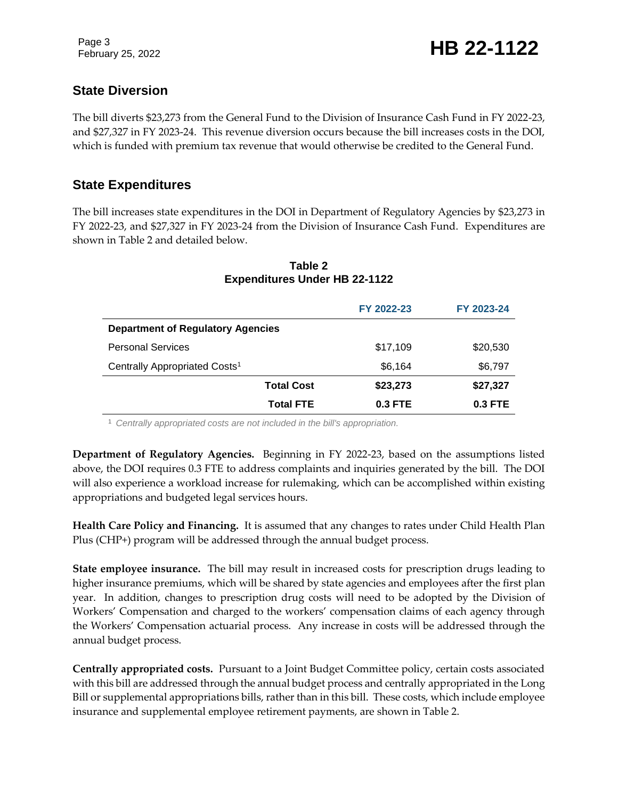# **State Diversion**

The bill diverts \$23,273 from the General Fund to the Division of Insurance Cash Fund in FY 2022-23, and \$27,327 in FY 2023-24. This revenue diversion occurs because the bill increases costs in the DOI, which is funded with premium tax revenue that would otherwise be credited to the General Fund.

# **State Expenditures**

The bill increases state expenditures in the DOI in Department of Regulatory Agencies by \$23,273 in FY 2022-23, and \$27,327 in FY 2023-24 from the Division of Insurance Cash Fund. Expenditures are shown in Table 2 and detailed below.

|                                           | FY 2022-23 | FY 2023-24 |  |  |
|-------------------------------------------|------------|------------|--|--|
| <b>Department of Regulatory Agencies</b>  |            |            |  |  |
| <b>Personal Services</b>                  | \$17,109   | \$20,530   |  |  |
| Centrally Appropriated Costs <sup>1</sup> | \$6,164    | \$6,797    |  |  |
| <b>Total Cost</b>                         | \$23,273   | \$27,327   |  |  |
| <b>Total FTE</b>                          | $0.3$ FTE  | 0.3 FTE    |  |  |

#### **Table 2 Expenditures Under HB 22-1122**

<sup>1</sup> *Centrally appropriated costs are not included in the bill's appropriation.*

**Department of Regulatory Agencies.** Beginning in FY 2022-23, based on the assumptions listed above, the DOI requires 0.3 FTE to address complaints and inquiries generated by the bill. The DOI will also experience a workload increase for rulemaking, which can be accomplished within existing appropriations and budgeted legal services hours.

**Health Care Policy and Financing.** It is assumed that any changes to rates under Child Health Plan Plus (CHP+) program will be addressed through the annual budget process.

**State employee insurance.** The bill may result in increased costs for prescription drugs leading to higher insurance premiums, which will be shared by state agencies and employees after the first plan year. In addition, changes to prescription drug costs will need to be adopted by the Division of Workers' Compensation and charged to the workers' compensation claims of each agency through the Workers' Compensation actuarial process. Any increase in costs will be addressed through the annual budget process.

**Centrally appropriated costs.** Pursuant to a Joint Budget Committee policy, certain costs associated with this bill are addressed through the annual budget process and centrally appropriated in the Long Bill or supplemental appropriations bills, rather than in this bill. These costs, which include employee insurance and supplemental employee retirement payments, are shown in Table 2.